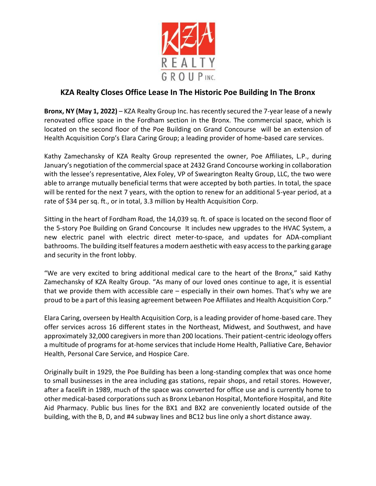

## **KZA Realty Closes Office Lease In The Historic Poe Building In The Bronx**

**Bronx, NY (May 1, 2022)** – KZA Realty Group Inc. has recently secured the 7-year lease of a newly renovated office space in the Fordham section in the Bronx. The commercial space, which is located on the second floor of the Poe Building on Grand Concourse will be an extension of Health Acquisition Corp's Elara Caring Group; a leading provider of home-based care services.

Kathy Zamechansky of KZA Realty Group represented the owner, Poe Affiliates, L.P., during January's negotiation of the commercial space at 2432 Grand Concourse working in collaboration with the lessee's representative, Alex Foley, VP of Swearington Realty Group, LLC, the two were able to arrange mutually beneficial terms that were accepted by both parties. In total, the space will be rented for the next 7 years, with the option to renew for an additional 5-year period, at a rate of \$34 per sq. ft., or in total, 3.3 million by Health Acquisition Corp.

Sitting in the heart of Fordham Road, the 14,039 sq. ft. of space is located on the second floor of the 5-story Poe Building on Grand Concourse It includes new upgrades to the HVAC System, a new electric panel with electric direct meter-to-space, and updates for ADA-compliant bathrooms. The building itself features a modern aesthetic with easy access to the parking garage and security in the front lobby.

"We are very excited to bring additional medical care to the heart of the Bronx," said Kathy Zamechansky of KZA Realty Group. "As many of our loved ones continue to age, it is essential that we provide them with accessible care  $-$  especially in their own homes. That's why we are proud to be a part of this leasing agreement between Poe Affiliates and Health Acquisition Corp."

Elara Caring, overseen by Health Acquisition Corp, is a leading provider of home-based care. They offer services across 16 different states in the Northeast, Midwest, and Southwest, and have approximately 32,000 caregivers in more than 200 locations. Their patient-centric ideology offers a multitude of programs for at-home services that include Home Health, Palliative Care, Behavior Health, Personal Care Service, and Hospice Care.

Originally built in 1929, the Poe Building has been a long-standing complex that was once home to small businesses in the area including gas stations, repair shops, and retail stores. However, after a facelift in 1989, much of the space was converted for office use and is currently home to other medical-based corporations such as Bronx Lebanon Hospital, Montefiore Hospital, and Rite Aid Pharmacy. Public bus lines for the BX1 and BX2 are conveniently located outside of the building, with the B, D, and #4 subway lines and BC12 bus line only a short distance away.